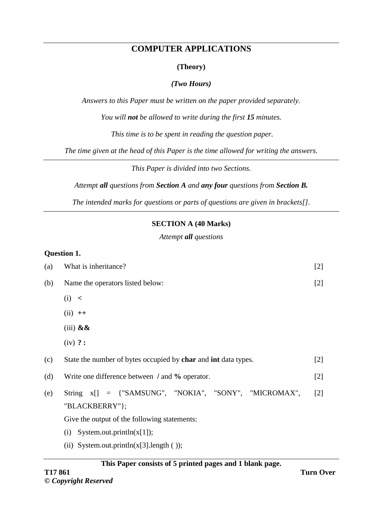# **COMPUTER APPLICATIONS**

## **(Theory)**

## *(Two Hours)*

*Answers to this Paper must be written on the paper provided separately.*

*You will not be allowed to write during the first 15 minutes.*

*This time is to be spent in reading the question paper.*

*The time given at the head of this Paper is the time allowed for writing the answers.*

*This Paper is divided into two Sections.*

*Attempt all questions from Section A and any four questions from Section B.*

*The intended marks for questions or parts of questions are given in brackets[].*

## **SECTION A (40 Marks)**

*Attempt all questions*

#### **Question 1.**

| (a) | What is inheritance?                                                                                                                                                                                       | $[2]$             |
|-----|------------------------------------------------------------------------------------------------------------------------------------------------------------------------------------------------------------|-------------------|
| (b) | Name the operators listed below:                                                                                                                                                                           | $[2]$             |
|     | (i) <                                                                                                                                                                                                      |                   |
|     | $(ii)$ ++                                                                                                                                                                                                  |                   |
|     | $(iii)$ & &                                                                                                                                                                                                |                   |
|     | $(iv)$ ? :                                                                                                                                                                                                 |                   |
| (c) | State the number of bytes occupied by char and int data types.                                                                                                                                             | [2]               |
| (d) | Write one difference between / and % operator.                                                                                                                                                             | $[2]$             |
| (e) | String x[] = {"SAMSUNG", "NOKIA", "SONY", "MICROMAX",<br>"BLACKBERRY"};<br>Give the output of the following statements:<br>System.out.println(x[1]);<br>(i)<br>(ii) System.out.println( $x[3]$ .length()); | $\lceil 2 \rceil$ |
|     |                                                                                                                                                                                                            |                   |

## **This Paper consists of 5 printed pages and 1 blank page.**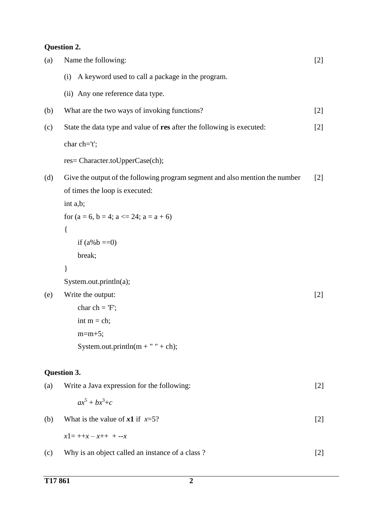# **Question 2.**

| Name the following:                                                                                            | $[2]$                                               |
|----------------------------------------------------------------------------------------------------------------|-----------------------------------------------------|
| A keyword used to call a package in the program.<br>(i)                                                        |                                                     |
| (ii) Any one reference data type.                                                                              |                                                     |
| What are the two ways of invoking functions?                                                                   | $[2]$                                               |
| State the data type and value of res after the following is executed:                                          | $[2]$                                               |
| char $ch = 't';$                                                                                               |                                                     |
| res= Character.toUpperCase(ch);                                                                                |                                                     |
| Give the output of the following program segment and also mention the number<br>of times the loop is executed: | $[2]$                                               |
|                                                                                                                |                                                     |
| $\{$                                                                                                           |                                                     |
| if $(a\%b == 0)$                                                                                               |                                                     |
| break;                                                                                                         |                                                     |
| ∤                                                                                                              |                                                     |
| System.out.println(a);                                                                                         |                                                     |
| Write the output:                                                                                              | $[2]$                                               |
| char ch = $F$ ;                                                                                                |                                                     |
| int $m = ch$ ;                                                                                                 |                                                     |
| $m=m+5$ ;                                                                                                      |                                                     |
| System.out.println( $m + " " + ch)$ ;                                                                          |                                                     |
| Question 3.                                                                                                    |                                                     |
| Write a Java expression for the following:                                                                     | $[2]$                                               |
| $ax^5 + bx^3 + c$                                                                                              |                                                     |
| What is the value of $x1$ if $x=5$ ?                                                                           | $[2]$                                               |
| $x1 = +x - x + + -x$                                                                                           |                                                     |
| Why is an object called an instance of a class?                                                                | $[2]$                                               |
|                                                                                                                | int a,b;<br>for $(a = 6, b = 4; a < 24; a = a + 6)$ |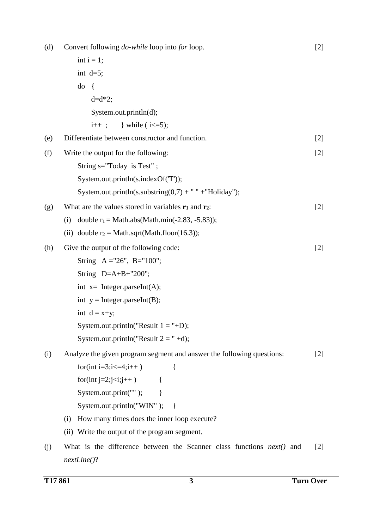| (d) | Convert following <i>do-while</i> loop into for loop.                         | $[2]$             |
|-----|-------------------------------------------------------------------------------|-------------------|
|     | int $i = 1$ ;                                                                 |                   |
|     | int $d=5$ ;                                                                   |                   |
|     | do<br>$\{$                                                                    |                   |
|     | $d = d * 2;$                                                                  |                   |
|     | System.out.println(d);                                                        |                   |
|     |                                                                               |                   |
| (e) | Differentiate between constructor and function.                               | $[2]$             |
| (f) | Write the output for the following:                                           | $[2]$             |
|     | String s="Today is Test";                                                     |                   |
|     | System.out.println(s.indexOf('T'));                                           |                   |
|     | System.out.println(s.substring(0,7) + " " + "Holiday");                       |                   |
| (g) | What are the values stored in variables $r_1$ and $r_2$ :                     | $[2]$             |
|     | double $r_1 = Math.abs(Math.min(-2.83, -5.83));$<br>(i)                       |                   |
|     | (ii) double $r_2 = Math.sqrt(Math.float0or(16.3));$                           |                   |
| (h) | Give the output of the following code:                                        | $[2]$             |
|     | String $A = 26$ ", B="100";                                                   |                   |
|     | String $D=A+B+"200"$ ;                                                        |                   |
|     | int $x=$ Integer.parseInt(A);                                                 |                   |
|     | int $y = Integer.parseInt(B);$                                                |                   |
|     | int $d = x+y$ ;                                                               |                   |
|     | System.out.println("Result $1 =$ "+D);                                        |                   |
|     | System.out.println("Result $2 = " +d)$ ;                                      |                   |
| (i) | Analyze the given program segment and answer the following questions:         | $[2]$             |
|     | for(int i=3;i $\le$ =4;i++)<br>$\{$                                           |                   |
|     | for(int j=2;j <i;j++) td="" {<=""><td></td></i;j++)>                          |                   |
|     | System.out.print(""); $\}$                                                    |                   |
|     | System.out.println("WIN");<br>$\Box$                                          |                   |
|     | How many times does the inner loop execute?<br>(i)                            |                   |
|     | (ii) Write the output of the program segment.                                 |                   |
| (j) | What is the difference between the Scanner class functions <i>next</i> () and | $\lceil 2 \rceil$ |
|     | $nextLine()$ ?                                                                |                   |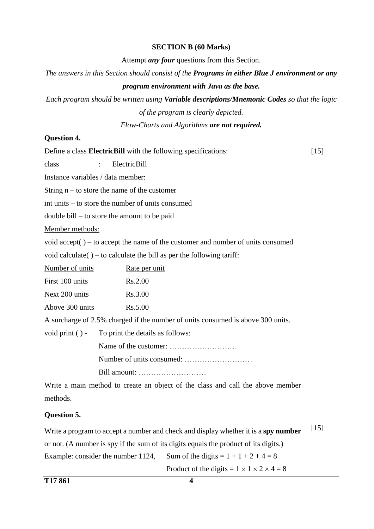### **SECTION B (60 Marks)**

Attempt *any four* questions from this Section.

*The answers in this Section should consist of the Programs in either Blue J environment or any* 

## *program environment with Java as the base.*

*Each program should be written using Variable descriptions/Mnemonic Codes so that the logic of the program is clearly depicted.* 

*Flow-Charts and Algorithms are not required.*

#### **Question 4.**

Define a class **ElectricBill** with the following specifications: class : ElectricBill Instance variables / data member: String  $n -$  to store the name of the customer int units – to store the number of units consumed double bill – to store the amount to be paid Member methods: void accept( ) – to accept the name of the customer and number of units consumed void calculate( $)$  – to calculate the bill as per the following tariff: Number of units Rate per unit First 100 units Rs.2.00 Next 200 units Rs. 3.00 Above  $300 \text{ units}$  Rs.  $5.00$ A surcharge of 2.5% charged if the number of units consumed is above 300 units. void print ( ) - To print the details as follows: Name of the customer: ……………………… Number of units consumed: ……………………… Bill amount: [15]

Write a main method to create an object of the class and call the above member methods.

## **Question 5.**

Write a program to accept a number and check and display whether it is a **spy number** or not. (A number is spy if the sum of its digits equals the product of its digits.) Example: consider the number 1124, Sum of the digits  $= 1 + 1 + 2 + 4 = 8$ [15]

Product of the digits  $= 1 \times 1 \times 2 \times 4 = 8$